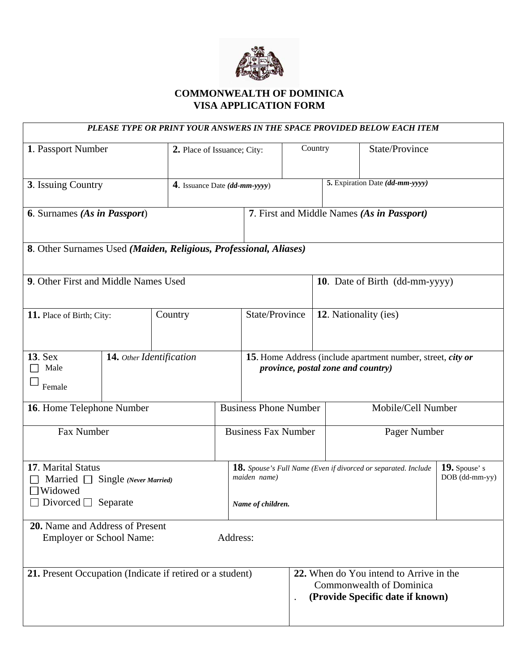

## **COMMONWEALTH OF DOMINICA VISA APPLICATION FORM**

|                                                                                                                  |                          |                               |                             |                                                                                                     |           |                                                                                                         |                                  | PLEASE TYPE OR PRINT YOUR ANSWERS IN THE SPACE PROVIDED BELOW EACH ITEM |  |
|------------------------------------------------------------------------------------------------------------------|--------------------------|-------------------------------|-----------------------------|-----------------------------------------------------------------------------------------------------|-----------|---------------------------------------------------------------------------------------------------------|----------------------------------|-------------------------------------------------------------------------|--|
| 1. Passport Number                                                                                               |                          |                               | 2. Place of Issuance; City: |                                                                                                     | Country   |                                                                                                         |                                  | State/Province                                                          |  |
| 3. Issuing Country                                                                                               |                          | 4. Issuance Date (dd-mm-yyyy) |                             | 5. Expiration Date (dd-mm-yyyy)                                                                     |           |                                                                                                         |                                  |                                                                         |  |
| 6. Surnames (As in Passport)                                                                                     |                          |                               |                             |                                                                                                     |           |                                                                                                         |                                  | 7. First and Middle Names (As in Passport)                              |  |
| 8. Other Surnames Used (Maiden, Religious, Professional, Aliases)                                                |                          |                               |                             |                                                                                                     |           |                                                                                                         |                                  |                                                                         |  |
| 9. Other First and Middle Names Used                                                                             |                          |                               |                             |                                                                                                     |           | 10. Date of Birth (dd-mm-yyyy)                                                                          |                                  |                                                                         |  |
| 11. Place of Birth; City:                                                                                        | Country                  |                               |                             | State/Province                                                                                      |           | 12. Nationality (ies)                                                                                   |                                  |                                                                         |  |
| <b>13. Sex</b><br>Male<br>Female                                                                                 | 14. Other Identification |                               |                             | 15. Home Address (include apartment number, street, city or<br>province, postal zone and country)   |           |                                                                                                         |                                  |                                                                         |  |
| 16. Home Telephone Number                                                                                        |                          |                               |                             | <b>Business Phone Number</b>                                                                        |           |                                                                                                         | Mobile/Cell Number               |                                                                         |  |
| Fax Number                                                                                                       |                          |                               | <b>Business Fax Number</b>  |                                                                                                     |           | Pager Number                                                                                            |                                  |                                                                         |  |
| 17. Marital Status<br>Married $\Box$ Single (Never Married)<br>$\Box$ Widowed<br>$\Box$ Divorced $\Box$ Separate |                          |                               |                             | 18. Spouse's Full Name (Even if divorced or separated. Include<br>maiden name)<br>Name of children. |           |                                                                                                         | $19.$ Spouse's<br>DOB (dd-mm-yy) |                                                                         |  |
| 20. Name and Address of Present<br><b>Employer or School Name:</b>                                               |                          |                               | Address:                    |                                                                                                     |           |                                                                                                         |                                  |                                                                         |  |
| 21. Present Occupation (Indicate if retired or a student)                                                        |                          |                               |                             |                                                                                                     | $\bullet$ | 22. When do You intend to Arrive in the<br>Commonwealth of Dominica<br>(Provide Specific date if known) |                                  |                                                                         |  |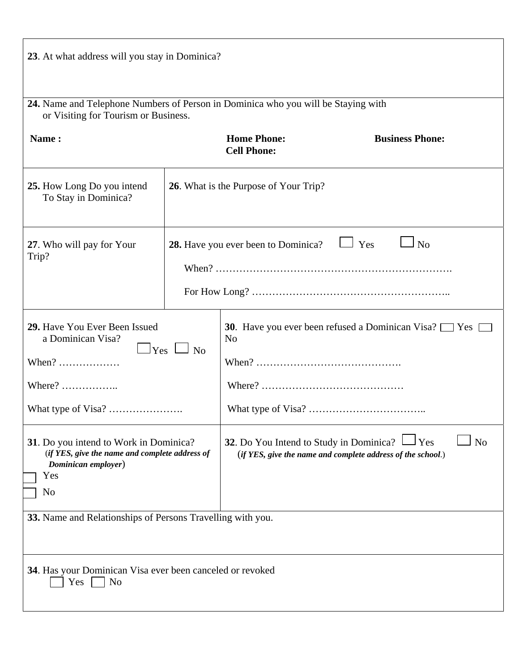| 23. At what address will you stay in Dominica?                                                                                 |                                                                     |                                                                                                                                            |                        |  |  |  |  |
|--------------------------------------------------------------------------------------------------------------------------------|---------------------------------------------------------------------|--------------------------------------------------------------------------------------------------------------------------------------------|------------------------|--|--|--|--|
| 24. Name and Telephone Numbers of Person in Dominica who you will be Staying with<br>or Visiting for Tourism or Business.      |                                                                     |                                                                                                                                            |                        |  |  |  |  |
| Name:                                                                                                                          |                                                                     | <b>Home Phone:</b><br><b>Cell Phone:</b>                                                                                                   | <b>Business Phone:</b> |  |  |  |  |
| 25. How Long Do you intend<br>To Stay in Dominica?                                                                             | 26. What is the Purpose of Your Trip?                               |                                                                                                                                            |                        |  |  |  |  |
| 27. Who will pay for Your<br>Trip?                                                                                             | $\Box$ Yes<br>N <sub>o</sub><br>28. Have you ever been to Dominica? |                                                                                                                                            |                        |  |  |  |  |
| 29. Have You Ever Been Issued<br>a Dominican Visa?<br>$\Box$ Yes $\Box$ No<br>When? $\dots\dots\dots\dots\dots\dots$<br>Where? |                                                                     | <b>30</b> . Have you ever been refused a Dominican Visa? $\Box$ Yes $\Box$<br>N <sub>0</sub>                                               |                        |  |  |  |  |
| 31. Do you intend to Work in Dominica?<br>(if YES, give the name and complete address of<br>Dominican employer)<br>Yes<br>No   |                                                                     | 32. Do You Intend to Study in Dominica?<br>$_{\rm I Yes}$<br>N <sub>o</sub><br>(if YES, give the name and complete address of the school.) |                        |  |  |  |  |
| 33. Name and Relationships of Persons Travelling with you.                                                                     |                                                                     |                                                                                                                                            |                        |  |  |  |  |
| 34. Has your Dominican Visa ever been canceled or revoked<br>N <sub>o</sub><br>Yes                                             |                                                                     |                                                                                                                                            |                        |  |  |  |  |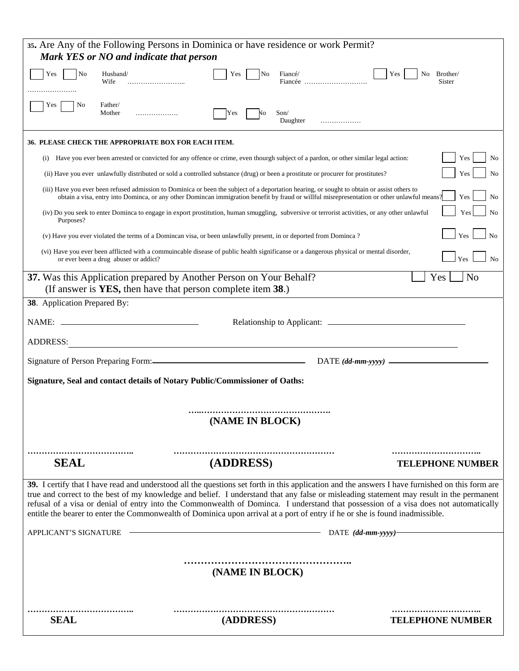| 35. Are Any of the Following Persons in Dominica or have residence or work Permit?<br>Mark YES or NO and indicate that person                                                                                                                                                                                                                                                                                                                                                                                                                                       |  |  |  |  |  |  |
|---------------------------------------------------------------------------------------------------------------------------------------------------------------------------------------------------------------------------------------------------------------------------------------------------------------------------------------------------------------------------------------------------------------------------------------------------------------------------------------------------------------------------------------------------------------------|--|--|--|--|--|--|
| N <sub>0</sub><br>Husband/<br>Yes<br>Fiancé/<br>Brother/<br>Yes<br>No<br>Yes<br>No.<br>Fiancée<br>Wife<br>Sister                                                                                                                                                                                                                                                                                                                                                                                                                                                    |  |  |  |  |  |  |
|                                                                                                                                                                                                                                                                                                                                                                                                                                                                                                                                                                     |  |  |  |  |  |  |
| Father/<br>Yes<br>No<br>Mother<br>Son/<br>Yes<br>.<br>٧O<br>Daughter<br>.                                                                                                                                                                                                                                                                                                                                                                                                                                                                                           |  |  |  |  |  |  |
| <b>36. PLEASE CHECK THE APPROPRIATE BOX FOR EACH ITEM.</b>                                                                                                                                                                                                                                                                                                                                                                                                                                                                                                          |  |  |  |  |  |  |
| Have you ever been arrested or convicted for any offence or crime, even thourgh subject of a pardon, or other similar legal action:<br>Yes<br>No<br>(i)                                                                                                                                                                                                                                                                                                                                                                                                             |  |  |  |  |  |  |
| (ii) Have you ever unlawfully distributed or sold a controlled substance (drug) or been a prostitute or procurer for prostitutes?<br>Yes<br>N <sub>0</sub>                                                                                                                                                                                                                                                                                                                                                                                                          |  |  |  |  |  |  |
| (iii) Have you ever been refused admission to Dominica or been the subject of a deportation hearing, or sought to obtain or assist others to<br>obtain a visa, entry into Dominca, or any other Domincan immigration benefit by fraud or willful misrepresentation or other unlawful means?<br>Yes<br>N <sub>0</sub>                                                                                                                                                                                                                                                |  |  |  |  |  |  |
| (iv) Do you seek to enter Dominca to engage in export prostitution, human smuggling, subversive or terrorist activities, or any other unlawful<br>N <sub>0</sub><br>Yes<br>Purposes?                                                                                                                                                                                                                                                                                                                                                                                |  |  |  |  |  |  |
| Yes<br>(v) Have you ever violated the terms of a Domincan visa, or been unlawfully present, in or deported from Dominca?                                                                                                                                                                                                                                                                                                                                                                                                                                            |  |  |  |  |  |  |
| (vi) Have you ever been afflicted with a commuincable disease of public health significanse or a dangerous physical or mental disorder,<br>Yes<br>or ever been a drug abuser or addict?                                                                                                                                                                                                                                                                                                                                                                             |  |  |  |  |  |  |
| 37. Was this Application prepared by Another Person on Your Behalf?<br>Yes<br>N <sub>o</sub><br>(If answer is <b>YES</b> , then have that person complete item 38.)                                                                                                                                                                                                                                                                                                                                                                                                 |  |  |  |  |  |  |
| 38. Application Prepared By:                                                                                                                                                                                                                                                                                                                                                                                                                                                                                                                                        |  |  |  |  |  |  |
| NAME: .                                                                                                                                                                                                                                                                                                                                                                                                                                                                                                                                                             |  |  |  |  |  |  |
| <b>ADDRESS:</b>                                                                                                                                                                                                                                                                                                                                                                                                                                                                                                                                                     |  |  |  |  |  |  |
| $DATE$ (dd-mm-yyyy) $\_\_\_\_\_\_\_\$                                                                                                                                                                                                                                                                                                                                                                                                                                                                                                                               |  |  |  |  |  |  |
| Signature, Seal and contact details of Notary Public/Commissioner of Oaths:                                                                                                                                                                                                                                                                                                                                                                                                                                                                                         |  |  |  |  |  |  |
|                                                                                                                                                                                                                                                                                                                                                                                                                                                                                                                                                                     |  |  |  |  |  |  |
| (NAME IN BLOCK)                                                                                                                                                                                                                                                                                                                                                                                                                                                                                                                                                     |  |  |  |  |  |  |
|                                                                                                                                                                                                                                                                                                                                                                                                                                                                                                                                                                     |  |  |  |  |  |  |
| (ADDRESS)<br><b>SEAL</b><br><b>TELEPHONE NUMBER</b>                                                                                                                                                                                                                                                                                                                                                                                                                                                                                                                 |  |  |  |  |  |  |
| 39. I certify that I have read and understood all the questions set forth in this application and the answers I have furnished on this form are<br>true and correct to the best of my knowledge and belief. I understand that any false or misleading statement may result in the permanent<br>refusal of a visa or denial of entry into the Commonwealth of Dominca. I understand that possession of a visa does not automatically<br>entitle the bearer to enter the Commonwealth of Dominica upon arrival at a port of entry if he or she is found inadmissible. |  |  |  |  |  |  |
| APPLICANT'S SIGNATURE<br>- DATE (dd-mm-yyyy)-                                                                                                                                                                                                                                                                                                                                                                                                                                                                                                                       |  |  |  |  |  |  |
|                                                                                                                                                                                                                                                                                                                                                                                                                                                                                                                                                                     |  |  |  |  |  |  |
| (NAME IN BLOCK)                                                                                                                                                                                                                                                                                                                                                                                                                                                                                                                                                     |  |  |  |  |  |  |
|                                                                                                                                                                                                                                                                                                                                                                                                                                                                                                                                                                     |  |  |  |  |  |  |
| (ADDRESS)<br><b>SEAL</b><br><b>TELEPHONE NUMBER</b>                                                                                                                                                                                                                                                                                                                                                                                                                                                                                                                 |  |  |  |  |  |  |